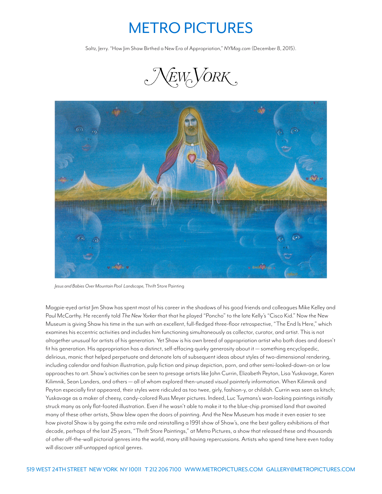## METRO PICTURES

Saltz, Jerry. "How Jim Shaw Birthed a New Era of Appropriation," *NYMag.com* (December 8, 2015).





*Jesus and Babies Over Mountain Pool Landscape,* Thrift Store Painting

Magpie-eyed artist Jim Shaw has spent most of his career in the shadows of his good friends and colleagues Mike Kelley and Paul McCarthy. He recently told *The New Yorker* that that he played "Poncho" to the late Kelly's "Cisco Kid." Now the New Museum is giving Shaw his time in the sun with an excellent, full-fledged three-floor retrospective, "The End Is Here," which examines his eccentric activities and includes him functioning simultaneously as collector, curator, and artist. This is not altogether unusual for artists of his generation. Yet Shaw is his own breed of appropriation artist who both does and doesn't fit his generation. His appropriation has a distinct, self-effacing quirky generosity about it — something encyclopedic, delirious, manic that helped perpetuate and detonate lots of subsequent ideas about styles of two-dimensional rendering, including calendar and fashion illustration, pulp fiction and pinup depiction, porn, and other semi-looked-down-on or low approaches to art. Shaw's activities can be seen to presage artists like John Currin, Elizabeth Peyton, Lisa Yuskavage, Karen Kilimnik, Sean Landers, and others — all of whom explored then-unused visual painterly information. When Kilimnik and Peyton especially first appeared, their styles were ridiculed as too twee, girly, fashion-y, or childish. Currin was seen as kitsch; Yuskavage as a maker of cheesy, candy-colored Russ Meyer pictures. Indeed, Luc Tuymans's wan-looking paintings initially struck many as only flat-footed illustration. Even if he wasn't able to make it to the blue-chip promised land that awaited many of these other artists, Shaw blew open the doors of painting. And the New Museum has made it even easier to see how pivotal Shaw is by going the extra mile and reinstalling a 1991 show of Shaw's, one the best gallery exhibitions of that decade, perhaps of the last 25 years, "Thrift Store Paintings," at Metro Pictures, a show that released these and thousands of other off-the-wall pictorial genres into the world, many still having repercussions. Artists who spend time here even today will discover *still*-untapped optical genres.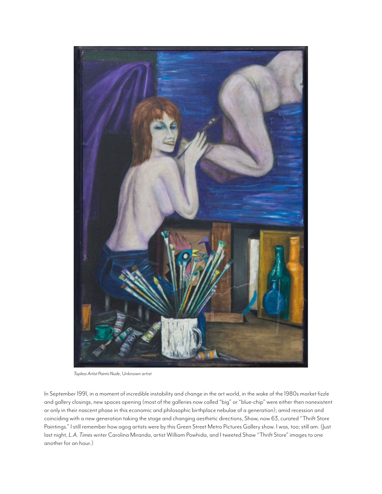

*Topless Artist Paints Nude*, Unknown artist

In September 1991, in a moment of incredible instability and change in the art world, in the wake of the 1980s market fizzle and gallery closings, new spaces opening (most of the galleries now called "big" or "blue-chip" were either then nonexistent or only in their nascent phase in this economic and philosophic birthplace nebulae of a generation); amid recession and coinciding with a new generation taking the stage and changing aesthetic directions, Shaw, now 63, curated "Thrift Store Paintings." I still remember how agog artists were by this Green Street Metro Pictures Gallery show. I was, too; still am. (Just last night, *L.A. Times* writer Carolina Miranda, artist William Powhida, and I tweeted Shaw "Thrift Store" images to one another for an hour.)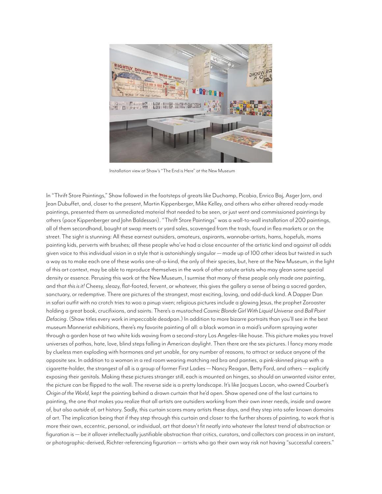

Installation view at Shaw's "The End is Here" at the New Museum

In "Thrift Store Paintings," Shaw followed in the footsteps of greats like Duchamp, Picabia, Enrico Baj, Asger Jorn, and Jean Dubuffet, and, closer to the present, Martin Kippenberger, Mike Kelley, and others who either altered ready-made paintings, presented them as unmediated material that needed to be seen, or just went and commissioned paintings by others (pace Kippenberger and John Baldessari). "Thrift Store Paintings" was a wall-to-wall installation of 200 paintings, all of them secondhand, bought at swap meets or yard sales, scavenged from the trash, found in flea markets or on the street. The sight is stunning: All these earnest outsiders, amateurs, aspirants, wannabe-artists, hams, hopefuls, moms painting kids, perverts with brushes; all these people who've had a close encounter of the artistic kind and against all odds given voice to this individual vision in a style that is astonishingly singular — made up of 100 other ideas but twisted in such a way as to make each one of these works one-of-a-kind, the only of their species, but, here at the New Museum, in the light of this art context, may be able to reproduce themselves in the work of other astute artists who may glean some special density or essence. Perusing this work at the New Museum, I surmise that many of these people only made *one* painting, and that *this is it!* Cheesy, sleazy, flat-footed, fervent, or whatever, this gives the gallery a sense of being a sacred garden, sanctuary, or redemptive. There are pictures of the strangest, most exciting, loving, and odd-duck kind. A Dapper Dan in safari outfit with no crotch tries to woo a pinup vixen; religious pictures include a glowing Jesus, the prophet Zoroaster holding a great book, crucifixions, and saints. There's a mustached *Cosmic Blonde Girl With Liquid Universe* and *Ball Point Defacing*. (Shaw titles every work in impeccable deadpan.) In addition to more bizarre portraits than you'll see in the best museum Mannerist exhibitions, there's my favorite painting of all: a black woman in a maid's uniform spraying water through a garden hose at two white kids waving from a second-story Los Angeles–like house. This picture makes you travel universes of pathos, hate, love, blind steps falling in American daylight. Then there are the sex pictures. I fancy many made by clueless men exploding with hormones and yet unable, for any number of reasons, to attract or seduce anyone of the opposite sex. In addition to a woman in a red room wearing matching red bra and panties, a pink-skinned pinup with a cigarette-holder, the strangest of all is a group of former First Ladies — Nancy Reagan, Betty Ford, and others — explicitly exposing their genitals. Making these pictures stranger still, each is mounted on hinges, so should an unwanted visitor enter, the picture can be flipped to the wall. The reverse side is a pretty landscape. It's like Jacques Lacan, who owned Courbet's *Origin of the World*, kept the painting behind a drawn curtain that he'd open. Shaw opened one of the last curtains to painting, the one that makes you realize that all artists are outsiders working from their own inner needs, inside and aware of, but also *outside* of, art history. Sadly, this curtain scares many artists these days, and they step into safer known domains of art. The implication being that if they step through this curtain and closer to the further shores of painting, to work that is more their own, eccentric, personal, or individual, art that doesn't fit neatly into whatever the latest trend of abstraction or figuration is — be it allover intellectually justifiable abstraction that critics, curators, and collectors can process in an instant, or photographic-derived, Richter-referencing figuration — artists who go their own way risk not having "successful careers."